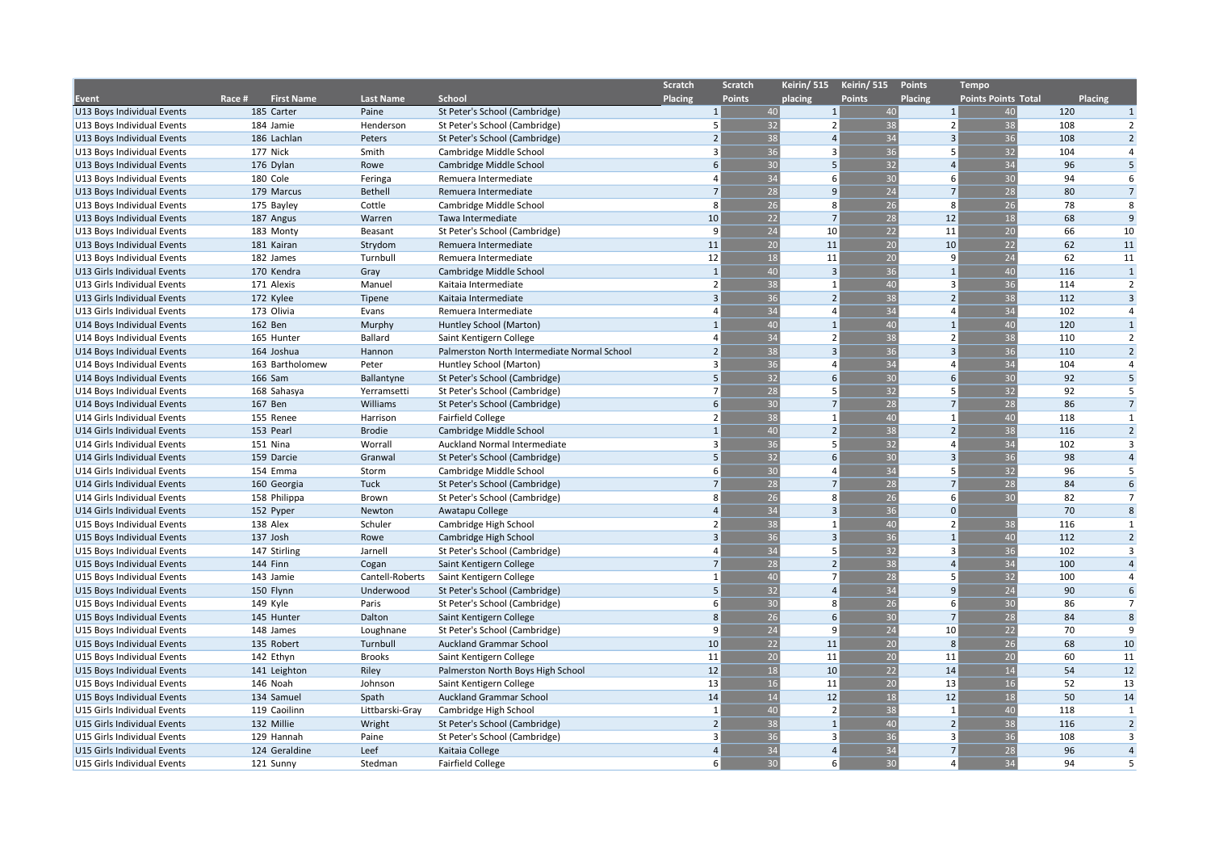|                                                          |                             |                          |                                                                 | <b>Scratch</b> | Scratch               | Keirin/ 515              | Keirin/ 515     | Points                  | <b>Tempo</b>               |                |                |
|----------------------------------------------------------|-----------------------------|--------------------------|-----------------------------------------------------------------|----------------|-----------------------|--------------------------|-----------------|-------------------------|----------------------------|----------------|----------------|
| Event                                                    | Race #<br><b>First Name</b> | <b>Last Name</b>         | School                                                          | Placing        | <b>Points</b>         | placing                  | <b>Points</b>   | Placing                 | <b>Points Points Total</b> | <b>Placing</b> |                |
| U13 Boys Individual Events                               | 185 Carter                  | Paine                    | St Peter's School (Cambridge)                                   |                | $\mathbf{1}$<br>40    | $\mathbf{1}$             | 40              | $\mathbf{1}$            | 40                         | 120            | 1              |
| U13 Boys Individual Events                               | 184 Jamie                   | Henderson                | St Peter's School (Cambridge)                                   |                | 32<br>5               | $\overline{2}$           | 38              | $\overline{2}$          | 38                         | 108            | 2              |
| U13 Boys Individual Events                               | 186 Lachlan                 | Peters                   | St Peter's School (Cambridge)                                   |                | 38                    | $\overline{4}$           | 34              | $\overline{3}$          | 36                         | 108            | $\overline{2}$ |
| U13 Boys Individual Events                               | 177 Nick                    | Smith                    | Cambridge Middle School                                         |                | 36<br>3               | $\overline{3}$           | 36              | $\overline{5}$          | 32                         | 104            | $\overline{4}$ |
| U13 Boys Individual Events                               | 176 Dylan                   | Rowe                     | Cambridge Middle School                                         |                | 30<br>6               | 5                        | 32              | $\overline{a}$          | 34                         | 96             | 5              |
| U13 Boys Individual Events                               | 180 Cole                    | Feringa                  | Remuera Intermediate                                            |                | 34<br>4               | 6                        | 30              | 6                       | 30                         | 94             | 6              |
| U13 Boys Individual Events                               | 179 Marcus                  | <b>Bethell</b>           | Remuera Intermediate                                            |                | 28<br>$\overline{7}$  | 9                        | 24              | $\overline{7}$          | 28                         | 80             | $\overline{7}$ |
| U13 Boys Individual Events                               | 175 Bayley                  | Cottle                   | Cambridge Middle School                                         |                | 26<br>8               | 8                        | 26              | $\mathbf{R}$            | 26                         | 78             | 8              |
| U13 Boys Individual Events                               | 187 Angus                   | Warren                   | Tawa Intermediate                                               |                | 22<br>10 <sup>1</sup> | $\overline{7}$           | 28              | 12                      | 18                         | 68             | 9              |
| U13 Boys Individual Events                               | 183 Monty                   | Beasant                  | St Peter's School (Cambridge)                                   |                | 24<br>9               | 10                       | 22              | 11                      | 20                         | 66             | 10             |
| U13 Boys Individual Events                               | 181 Kairan                  | Strydom                  | Remuera Intermediate                                            |                | $\overline{20}$<br>11 | 11                       | $\overline{20}$ | 10                      | 22                         | 62             | 11             |
| U13 Boys Individual Events                               | 182 James                   | Turnbull                 | Remuera Intermediate                                            |                | 18<br>12              | 11                       | 20              | $\mathbf{q}$            | 24                         | 62             | 11             |
| U13 Girls Individual Events                              | 170 Kendra                  | Gray                     | Cambridge Middle School                                         |                | $\mathbf{1}$<br>40    | $\overline{3}$           | 36              | $\mathbf{1}$            | 40                         | 116            | $\mathbf{1}$   |
| U13 Girls Individual Events                              | 171 Alexis                  | Manuel                   | Kaitaia Intermediate                                            |                | 38<br>$\overline{2}$  | $\mathbf{1}$             | 40              | 3                       | 36                         | 114            | $\overline{2}$ |
| U13 Girls Individual Events                              | 172 Kylee                   | Tipene                   | Kaitaia Intermediate                                            |                | 36<br>3               | $\overline{2}$           | 38              | $\overline{2}$          | 38                         | 112            | $\overline{3}$ |
| U13 Girls Individual Events                              | 173 Olivia                  | Evans                    | Remuera Intermediate                                            |                | 34<br>$\Delta$        | $\overline{a}$           | 34              | $\Delta$                | 34                         | 102            | $\overline{4}$ |
| U14 Boys Individual Events                               | 162 Ben                     | Murphy                   | Huntley School (Marton)                                         |                | 40                    | $\overline{1}$           | 40              | $\mathbf{1}$            | 40                         | 120            | 1              |
| U14 Boys Individual Events                               | 165 Hunter                  | Ballard                  | Saint Kentigern College                                         |                | 34<br>$\Delta$        | $\overline{2}$           | 38              | $\overline{2}$          | 38                         | 110            | $\overline{2}$ |
| U14 Boys Individual Events                               | 164 Joshua                  | Hannon                   | Palmerston North Intermediate Normal School                     |                | 38                    | $\overline{3}$           | $\overline{36}$ | $\overline{3}$          | 36                         | 110            | $\overline{2}$ |
| U14 Boys Individual Events                               | 163 Bartholomew             | Peter                    | Huntley School (Marton)                                         |                | 36<br>3               | $\overline{a}$           | 34              | $\overline{\mathbf{A}}$ | 34                         | 104            | $\overline{4}$ |
| U14 Boys Individual Events                               | 166 Sam                     | Ballantyne               | St Peter's School (Cambridge)                                   |                | 32<br>5               | 6                        | 30              | 6                       | 30                         | 92             | 5              |
| U14 Boys Individual Events                               | 168 Sahasya                 | Yerramsetti              | St Peter's School (Cambridge)                                   |                | 28<br>$\overline{7}$  | 5                        | 32              | 5                       | 32                         | 92             | $\overline{5}$ |
| U14 Boys Individual Events                               | 167 Ben                     | Williams                 | St Peter's School (Cambridge)                                   |                | 30<br>6               | $\overline{7}$           | 28              | $\overline{7}$          | 28                         | 86             | $\overline{7}$ |
| U14 Girls Individual Events                              | 155 Renee                   | Harrison                 | <b>Fairfield College</b>                                        |                | 38<br>$\overline{2}$  | $\mathbf{1}$             | 40              | 1                       | 40                         | 118            | $\mathbf{1}$   |
| U14 Girls Individual Events                              | 153 Pearl                   | <b>Brodie</b>            | Cambridge Middle School                                         |                | 40<br>$\overline{1}$  | $\overline{2}$           | 38              | $\overline{2}$          | 38                         | 116            | $\overline{2}$ |
| U14 Girls Individual Events                              | 151 Nina                    | Worrall                  | Auckland Normal Intermediate                                    |                | 36<br>3               | 5                        | 32              | $\Delta$                | 34                         | 102            | 3              |
| U14 Girls Individual Events                              | 159 Darcie                  | Granwal                  | St Peter's School (Cambridge)                                   |                | $\overline{32}$<br>5  | 6                        | 30              | $\overline{3}$          | 36                         | 98             | $\overline{4}$ |
| U14 Girls Individual Events                              | 154 Emma                    | Storm                    | Cambridge Middle School                                         |                | 30<br>6               | $\overline{a}$           | 34              |                         | 32                         | 96             | 5              |
| U14 Girls Individual Events                              | 160 Georgia                 | Tuck                     | St Peter's School (Cambridge)                                   |                | 28<br>$\overline{7}$  | $\overline{7}$           | 28              | $\overline{7}$          | 28                         | 84             | 6              |
| U14 Girls Individual Events                              | 158 Philippa                | Brown                    | St Peter's School (Cambridge)                                   |                | 26<br>8               | 8                        | 26              | 6                       | 30                         | 82             | $\overline{7}$ |
| U14 Girls Individual Events                              | 152 Pyper                   | Newton                   | Awatapu College                                                 |                | 34<br>$\overline{4}$  | $\overline{3}$           | 36              | $\Omega$                |                            | 70             | 8              |
| U15 Boys Individual Events                               | 138 Alex                    | Schuler                  | Cambridge High School                                           |                | 38<br>$\overline{2}$  | $\mathbf{1}$             | 40              | $\overline{2}$          | 38                         | 116            | 1              |
| U15 Boys Individual Events                               | 137 Josh                    | Rowe                     | Cambridge High School                                           |                | 36<br>3               | $\overline{3}$           | 36              | $\overline{1}$          | 40                         | 112            | $\overline{2}$ |
| U15 Boys Individual Events                               | 147 Stirling                | Jarnell                  | St Peter's School (Cambridge)                                   |                | 34<br>4               | 5                        | 32              | 3                       | 36                         | 102            | 3              |
| U15 Boys Individual Events                               | 144 Finn                    | Cogan                    | Saint Kentigern College                                         |                | 28                    | $\overline{2}$           | 38              | $\Delta$                | 34                         | 100            | $\overline{4}$ |
| U15 Boys Individual Events                               | 143 Jamie                   | Cantell-Roberts          | Saint Kentigern College                                         |                | 40                    | $\overline{1}$           | 28              | $\overline{5}$          | 32                         | 100            | $\overline{4}$ |
| U15 Boys Individual Events                               | 150 Flynn                   | Underwood                | St Peter's School (Cambridge)                                   |                | 32<br>5               | $\overline{4}$           | 34              | 9                       | 24                         | 90             | 6              |
| U15 Boys Individual Events                               | 149 Kyle                    | Paris                    | St Peter's School (Cambridge)                                   |                | 30<br>6               | 8                        | 26              |                         | 6 <sup>1</sup><br>30       | 86             | $\overline{7}$ |
| U15 Boys Individual Events                               | 145 Hunter                  | Dalton                   | Saint Kentigern College                                         |                | 26<br>8               | 6                        | 30              | $\overline{7}$          | 28                         | 84             | 8              |
|                                                          | 148 James                   | Loughnane                |                                                                 |                | 24<br>9               | 9                        | 24              | 10                      | 22                         | 70             | 9              |
| U15 Boys Individual Events<br>U15 Boys Individual Events | 135 Robert                  | Turnbull                 | St Peter's School (Cambridge)<br><b>Auckland Grammar School</b> |                | 22<br>10              | 11                       | 20              | 8                       | 26                         | 68             | 10             |
| U15 Boys Individual Events                               | 142 Ethyn                   | <b>Brooks</b>            | Saint Kentigern College                                         |                | 11<br>20              | 11                       | 20              | 11                      | 20                         | 60             | 11             |
|                                                          |                             |                          |                                                                 |                | 12<br>18              | 10                       | 22              | 14                      | 14                         | 54             | 12             |
| U15 Boys Individual Events                               | 141 Leighton<br>146 Noah    | Riley<br>Johnson         | Palmerston North Boys High School                               |                | 13<br>16              | 11                       | 20              | 13                      | 16                         | 52             | 13             |
| U15 Boys Individual Events                               |                             |                          | Saint Kentigern College                                         |                | 14<br>14              | 12                       | 18              | 12                      | 18                         | 50             | 14             |
| U15 Boys Individual Events                               | 134 Samuel                  | Spath<br>Littbarski-Gray | Auckland Grammar School                                         |                | 40<br>$\mathbf{1}$    | $\overline{\phantom{a}}$ | 38              | $\mathbf{1}$            | 40                         | 118            | 1              |
| U15 Girls Individual Events                              | 119 Caoilinn                |                          | Cambridge High School                                           |                | 38<br>$\overline{2}$  | $\mathbf{1}$             | 40              | $\overline{2}$          | 38                         | 116            | $\overline{2}$ |
| U15 Girls Individual Events                              | 132 Millie                  | Wright                   | St Peter's School (Cambridge)                                   |                | 36<br>$\overline{3}$  | 3                        | 36              | 3                       |                            | 108            | 3              |
| U15 Girls Individual Events                              | 129 Hannah                  | Paine                    | St Peter's School (Cambridge)                                   |                | 34<br>$\overline{a}$  | $\overline{4}$           |                 | $\overline{7}$          | 36<br>28                   | 96             | $\overline{4}$ |
| U15 Girls Individual Events                              | 124 Geraldine               | Leef                     | Kaitaia College                                                 |                |                       |                          | 34              |                         |                            |                |                |
| U15 Girls Individual Events                              | 121 Sunny                   | Stedman                  | <b>Fairfield College</b>                                        |                | 30<br>6               | 6                        | 30              | $\overline{a}$          | 34                         | 94             | 5              |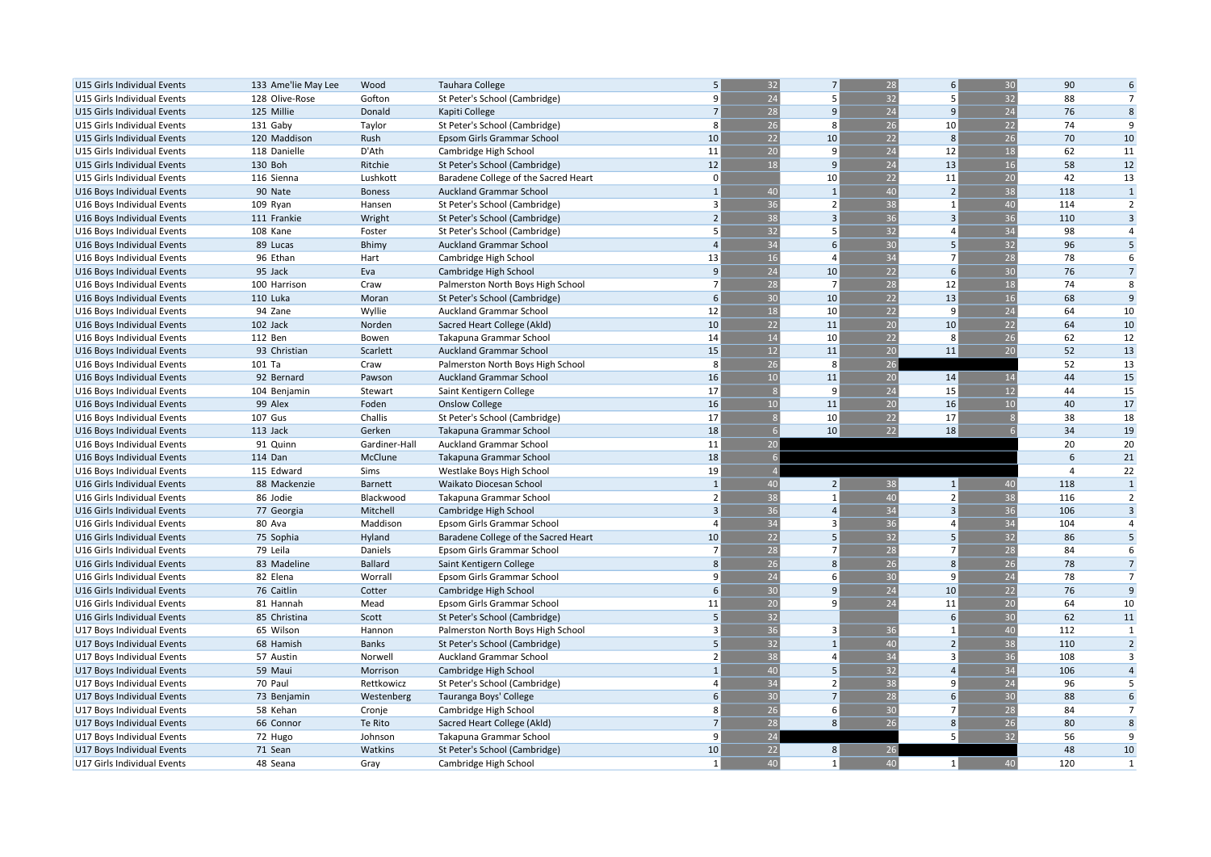| U15 Girls Individual Events                               | 133 Ame'lie May Lee     | Wood                     | <b>Tauhara College</b>                               | 5                        | 32               | $\overline{7}$    | 28              | 6 <sup>1</sup> | 30       | 90             | 6                    |
|-----------------------------------------------------------|-------------------------|--------------------------|------------------------------------------------------|--------------------------|------------------|-------------------|-----------------|----------------|----------|----------------|----------------------|
| U15 Girls Individual Events                               | 128 Olive-Rose          | Gofton                   | St Peter's School (Cambridge)                        | 9                        | 24               | 5                 | 32              | 5              | 32       | 88             | $\overline{7}$       |
| U15 Girls Individual Events                               | 125 Millie              | Donald                   | Kapiti College                                       | $7\overline{ }$          | 28               | 9                 | 24              | 9              | 24       | 76             | 8                    |
| U15 Girls Individual Events                               | 131 Gaby                | Taylor                   | St Peter's School (Cambridge)                        | 8                        | 26               | 8                 | 26              | 10             | 22       | 74             | 9                    |
| U15 Girls Individual Events                               | 120 Maddison            | Rush                     | Epsom Girls Grammar School                           | 10                       | 22               | 10                | 22              | 8              | 26       | 70             | 10                   |
| U15 Girls Individual Events                               | 118 Danielle            | D'Ath                    | Cambridge High School                                | 11                       | 20               | 9                 | 24              | 12             | 18       | 62             | 11                   |
| U15 Girls Individual Events                               | 130 Boh                 | Ritchie                  | St Peter's School (Cambridge)                        | 12                       | 18               | 9                 | 24              | 13             | 16       | 58             | 12                   |
| U15 Girls Individual Events                               | 116 Sienna              | Lushkott                 | Baradene College of the Sacred Heart                 | $\Omega$                 |                  | 10                | 22              | 11             | 20       | 42             | 13                   |
| U16 Boys Individual Events                                | 90 Nate                 | <b>Boness</b>            | Auckland Grammar School                              |                          | 40               | $\overline{1}$    | 40              | $\overline{2}$ | 38       | 118            | $\mathbf{1}$         |
| U16 Boys Individual Events                                | 109 Ryan                | Hansen                   | St Peter's School (Cambridge)                        | $\overline{3}$           | 36               | $\overline{2}$    | 38              | $\mathbf{1}$   | 40       | 114            | $\overline{2}$       |
| U16 Boys Individual Events                                | 111 Frankie             | Wright                   | St Peter's School (Cambridge)                        | $\overline{\phantom{0}}$ | 38               | $\overline{3}$    | 36              | $\overline{3}$ | 36       | 110            | $\overline{3}$       |
| U16 Boys Individual Events                                | 108 Kane                | Foster                   | St Peter's School (Cambridge)                        | 5                        | 32               | 5                 | 32              | $\overline{a}$ | 34       | 98             | $\overline{4}$       |
| U16 Boys Individual Events                                | 89 Lucas                | <b>Bhimy</b>             | <b>Auckland Grammar School</b>                       | $\overline{4}$           | 34               | 6                 | 30              | 5              | 32       | 96             | 5                    |
| U16 Boys Individual Events                                | 96 Ethan                | Hart                     | Cambridge High School                                | 13                       | 16               | $\overline{a}$    | 34              | $\overline{7}$ | 28       | 78             | 6                    |
| U16 Boys Individual Events                                | 95 Jack                 | Eva                      | Cambridge High School                                | 9                        | $\overline{24}$  | 10                | 22              | 6              | 30       | 76             | $\overline{7}$       |
| U16 Boys Individual Events                                | 100 Harrison            | Craw                     | Palmerston North Boys High School                    | $\overline{7}$           | 28               | 7                 | 28              | 12             | 18       | 74             | 8                    |
| U16 Boys Individual Events                                | <b>110 Luka</b>         | Moran                    | St Peter's School (Cambridge)                        | 6                        | 30               | 10                | 22              | 13             | 16       | 68             | $\overline{9}$       |
| U16 Boys Individual Events                                | 94 Zane                 | Wyllie                   | Auckland Grammar School                              | 12                       | 18               | 10                | 22              | 9              | 24       | 64             | 10                   |
| U16 Boys Individual Events                                | 102 Jack                | Norden                   | Sacred Heart College (Akld)                          | 10                       | 22               | 11                | 20              | 10             | 22       | 64             | 10                   |
| U16 Boys Individual Events                                | 112 Ben                 | Bowen                    | Takapuna Grammar School                              | 14                       | 14               | 10                | 22              | 8              | 26       | 62             | 12                   |
| U16 Boys Individual Events                                | 93 Christian            | Scarlett                 | <b>Auckland Grammar School</b>                       | 15                       | 12               | 11                | 20              | 11             | 20       | 52             | 13                   |
| U16 Boys Individual Events                                | 101 Ta                  | Craw                     | Palmerston North Boys High School                    | 8                        | 26               | 8                 | 26              |                |          | 52             | 13                   |
| U16 Boys Individual Events                                | 92 Bernard              | Pawson                   | Auckland Grammar School                              | 16                       | 10               | 11                | 20              | 14             | 14       | 44             | 15                   |
| U16 Boys Individual Events                                | 104 Benjamin            | Stewart                  | Saint Kentigern College                              | 17                       |                  | 9                 | 24              | 15             | 12       | 44             | 15                   |
| U16 Boys Individual Events                                | 99 Alex                 | Foden                    | <b>Onslow College</b>                                | 16                       | 10               | 11                | 20              | 16             | 10       | 40             | 17                   |
| U16 Boys Individual Events                                | <b>107 Gus</b>          | Challis                  | St Peter's School (Cambridge)                        | 17                       |                  | 10                | 22              | 17             |          | 38             | 18                   |
| U16 Boys Individual Events                                | 113 Jack                | Gerken                   | Takapuna Grammar School                              | 18                       |                  | 10                | $\overline{22}$ | 18             |          | 34             | 19                   |
| U16 Boys Individual Events                                | 91 Quinn                | Gardiner-Hall            | Auckland Grammar School                              | 11                       | 20 <sup>°</sup>  |                   |                 |                |          | 20             | 20                   |
| U16 Boys Individual Events                                | 114 Dan                 | McClune                  | Takapuna Grammar School                              | 18                       | $6 \overline{6}$ |                   |                 |                |          | 6              | 21                   |
|                                                           | 115 Edward              |                          |                                                      | 19                       |                  |                   |                 |                |          | $\overline{a}$ | 22                   |
| U16 Boys Individual Events<br>U16 Girls Individual Events | 88 Mackenzie            | Sims<br><b>Barnett</b>   | Westlake Boys High School<br>Waikato Diocesan School | $\mathbf{1}$             | 40               | $\overline{2}$    | 38              | 1              | 40       | 118            | $\mathbf{1}$         |
| U16 Girls Individual Events                               | 86 Jodie                | Blackwood                |                                                      | $\overline{2}$           | 38               | $\mathbf{1}$      | 40              | $\overline{2}$ | 38       | 116            | $\overline{2}$       |
|                                                           |                         |                          | Takapuna Grammar School                              | $\overline{3}$           | 36               | $\overline{a}$    | 34              | $\overline{3}$ | 36       | 106            | $\overline{3}$       |
| U16 Girls Individual Events                               | 77 Georgia              | Mitchell                 | Cambridge High School                                | $\Delta$                 | 34               | $\overline{3}$    | 36              | $\overline{a}$ | 34       | 104            | $\overline{4}$       |
| U16 Girls Individual Events                               | 80 Ava                  | Maddison                 | Epsom Girls Grammar School                           | 10                       | 22               | 5                 | 32              | $\overline{5}$ | 32       | 86             | 5                    |
| U16 Girls Individual Events                               | 75 Sophia               | Hyland                   | Baradene College of the Sacred Heart                 | $\overline{7}$           | 28               | $\overline{7}$    |                 | $\overline{7}$ |          |                |                      |
| U16 Girls Individual Events                               | 79 Leila                | Daniels                  | Epsom Girls Grammar School                           | 8                        | 26               | 8                 | 28<br>26        | 8              | 28<br>26 | 84<br>78       | 6<br>$7\overline{ }$ |
| U16 Girls Individual Events                               | 83 Madeline<br>82 Elena | <b>Ballard</b><br>Worral | Saint Kentigern College                              |                          | $\overline{24}$  | 6                 | 30              | q              | 24       | 78             | $\overline{7}$       |
| U16 Girls Individual Events                               |                         |                          | Epsom Girls Grammar School                           | 6                        | 30               | 9                 | 24              | 10             | 22       | 76             | 9                    |
| U16 Girls Individual Events                               | 76 Caitlin              | Cotter                   | Cambridge High School                                | 11                       | 20               | $\mathbf{q}$      | 24              | 11             | 20       | 64             | 10                   |
| U16 Girls Individual Events                               | 81 Hannah               | Mead                     | Epsom Girls Grammar School                           | 5                        | 32               |                   |                 | 6              | 30       | 62             | 11                   |
| U16 Girls Individual Events                               | 85 Christina            | Scott                    | St Peter's School (Cambridge)                        | 3                        |                  |                   |                 |                |          |                |                      |
| U17 Boys Individual Events                                | 65 Wilson               | Hannon                   | Palmerston North Boys High School                    |                          | 36               | 3<br>$\mathbf{1}$ | 36              | $\overline{1}$ | 40       | 112            | 1                    |
| U17 Boys Individual Events                                | 68 Hamish               | <b>Banks</b>             | St Peter's School (Cambridge)                        | 5                        | $\overline{32}$  |                   | 40              | $\overline{2}$ | 38       | 110            | $\overline{2}$       |
| U17 Boys Individual Events                                | 57 Austin               | Norwell                  | <b>Auckland Grammar School</b>                       | $\overline{\phantom{a}}$ | 38               | $\overline{a}$    | 34              | $\overline{3}$ | 36       | 108            | $\overline{3}$       |
| U17 Boys Individual Events                                | 59 Maui                 | Morrison                 | Cambridge High School                                |                          | 40               | 5                 | 32              | $\overline{a}$ | 34       | 106            | $\overline{4}$       |
| U17 Boys Individual Events                                | 70 Paul                 | Rettkowicz               | St Peter's School (Cambridge)                        |                          | 34               | $\overline{2}$    | 38              | q              | 24       | 96             | 5                    |
| U17 Boys Individual Events                                | 73 Benjamin             | Westenberg               | Tauranga Boys' College                               | 6                        | 30               | $\overline{7}$    | 28              | 6              | 30       | 88             | 6                    |
| U17 Boys Individual Events                                | 58 Kehan                | Cronje                   | Cambridge High School                                | 8                        | 26               | 6                 | 30              | $\overline{7}$ | 28       | 84             | $\overline{7}$       |
| U17 Boys Individual Events                                | 66 Connor               | Te Rito                  | Sacred Heart College (Akld)                          | $\overline{7}$           | 28               | 8                 | 26              | 8              | 26       | 80             | 8                    |
| U17 Boys Individual Events                                | 72 Hugo                 | Johnson                  | Takapuna Grammar School                              | q                        | 24               |                   |                 | 5              | 32       | 56             | 9                    |
| U17 Boys Individual Events                                | 71 Sean                 | Watkins                  | St Peter's School (Cambridge)                        | 10                       | 22               | 8                 | 26              |                |          | 48             | 10                   |
| U17 Girls Individual Events                               | 48 Seana                | Gray                     | Cambridge High School                                | $\mathbf{1}$             | 40               | $\mathbf{1}$      | 40              | 1              | 40       | 120            | 1                    |